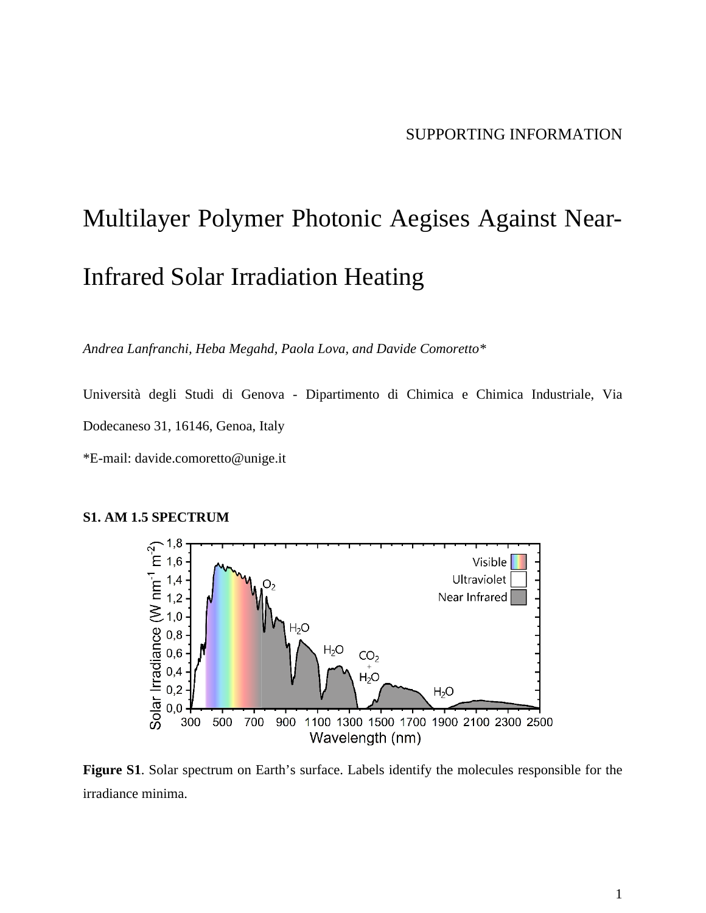# Multilayer Polymer Photonic Aegises Against Near-Infrared Solar Irradiation Heating

*Andrea Lanfranchi, Heba Megahd, Paola Lova, and Davide Comoretto\**

Università degli Studi di Genova - Dipartimento di Chimica e Chimica Industriale, Via Dodecaneso 31, 16146, Genoa, Italy

\*E-mail: davide.comoretto@unige.it





**Figure S1**. Solar spectrum on Earth's surface. Labels identify the molecules responsible for the irradiance minima.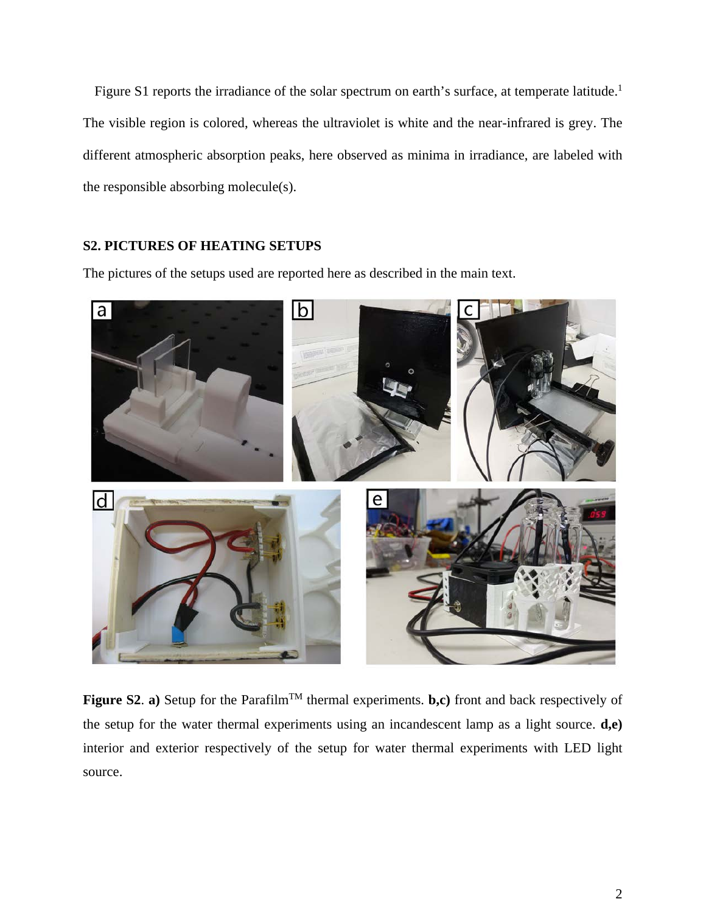Figure S1 reports the irradiance of the solar spectrum on earth's surface, at temperate latitude.<sup>1</sup> The visible region is colored, whereas the ultraviolet is white and the near-infrared is grey. The different atmospheric absorption peaks, here observed as minima in irradiance, are labeled with the responsible absorbing molecule(s).

## **S2. PICTURES OF HEATING SETUPS**

The pictures of the setups used are reported here as described in the main text.



**Figure S2. a)** Setup for the Parafilm<sup>TM</sup> thermal experiments. **b,c**) front and back respectively of the setup for the water thermal experiments using an incandescent lamp as a light source. **d,e)**  interior and exterior respectively of the setup for water thermal experiments with LED light source.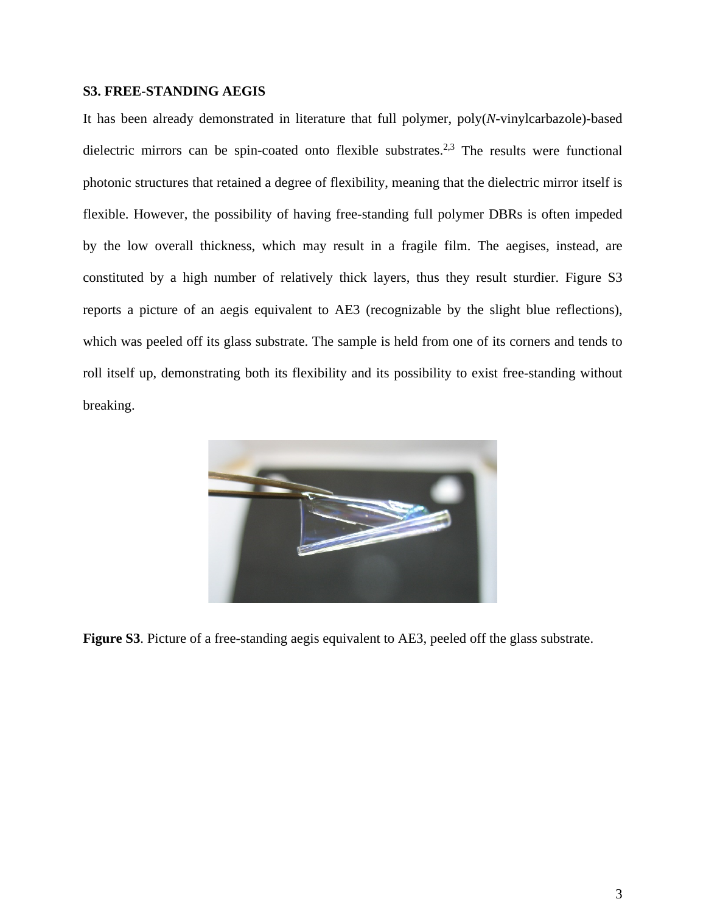## **S3. FREE-STANDING AEGIS**

It has been already demonstrated in literature that full polymer, poly(*N*-vinylcarbazole)-based dielectric mirrors can be spin-coated onto flexible substrates.<sup>2,3</sup> The results were functional photonic structures that retained a degree of flexibility, meaning that the dielectric mirror itself is flexible. However, the possibility of having free-standing full polymer DBRs is often impeded by the low overall thickness, which may result in a fragile film. The aegises, instead, are constituted by a high number of relatively thick layers, thus they result sturdier. Figure S3 reports a picture of an aegis equivalent to AE3 (recognizable by the slight blue reflections), which was peeled off its glass substrate. The sample is held from one of its corners and tends to roll itself up, demonstrating both its flexibility and its possibility to exist free-standing without breaking.



**Figure S3**. Picture of a free-standing aegis equivalent to AE3, peeled off the glass substrate.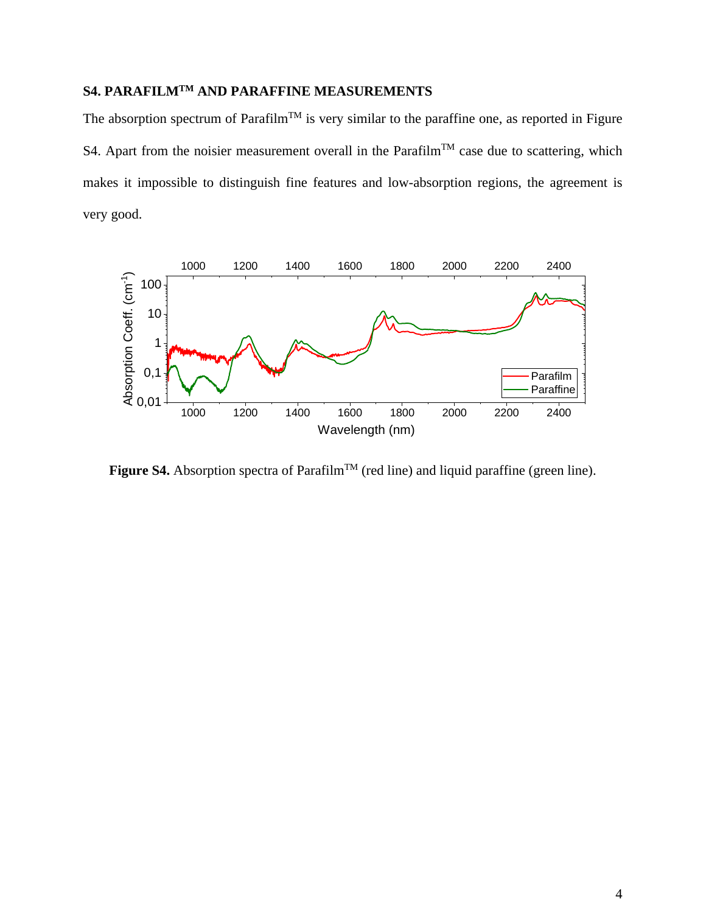# **S4. PARAFILMTM AND PARAFFINE MEASUREMENTS**

The absorption spectrum of Parafilm<sup>TM</sup> is very similar to the paraffine one, as reported in Figure S4. Apart from the noisier measurement overall in the Parafilm<sup>TM</sup> case due to scattering, which makes it impossible to distinguish fine features and low-absorption regions, the agreement is very good.



**Figure S4.** Absorption spectra of Parafilm<sup>TM</sup> (red line) and liquid paraffine (green line).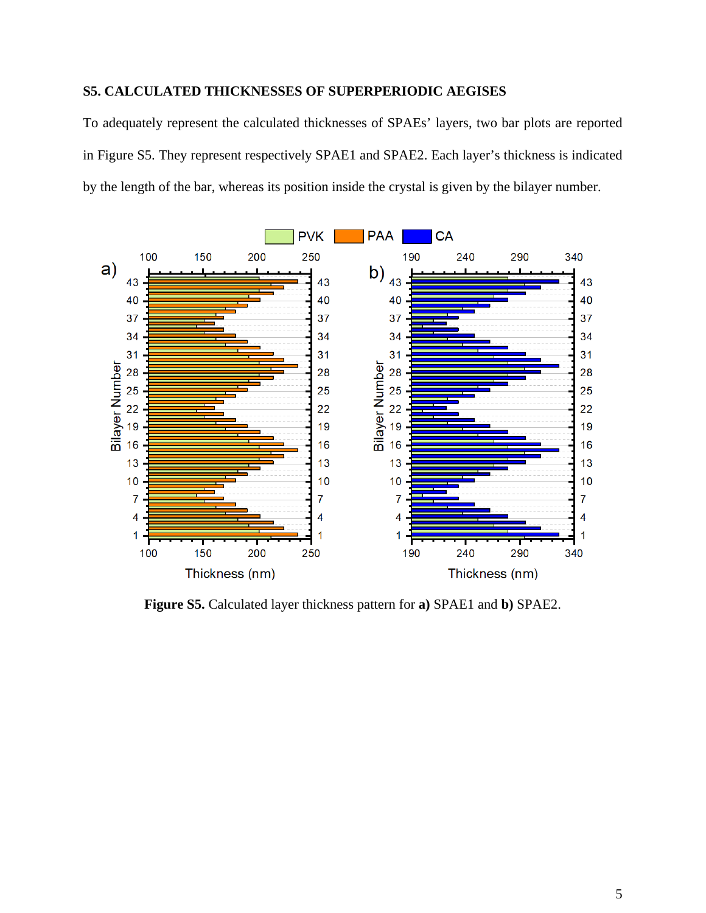# **S5. CALCULATED THICKNESSES OF SUPERPERIODIC AEGISES**

To adequately represent the calculated thicknesses of SPAEs' layers, two bar plots are reported in Figure S5. They represent respectively SPAE1 and SPAE2. Each layer's thickness is indicated by the length of the bar, whereas its position inside the crystal is given by the bilayer number.



**Figure S5.** Calculated layer thickness pattern for **a)** SPAE1 and **b)** SPAE2.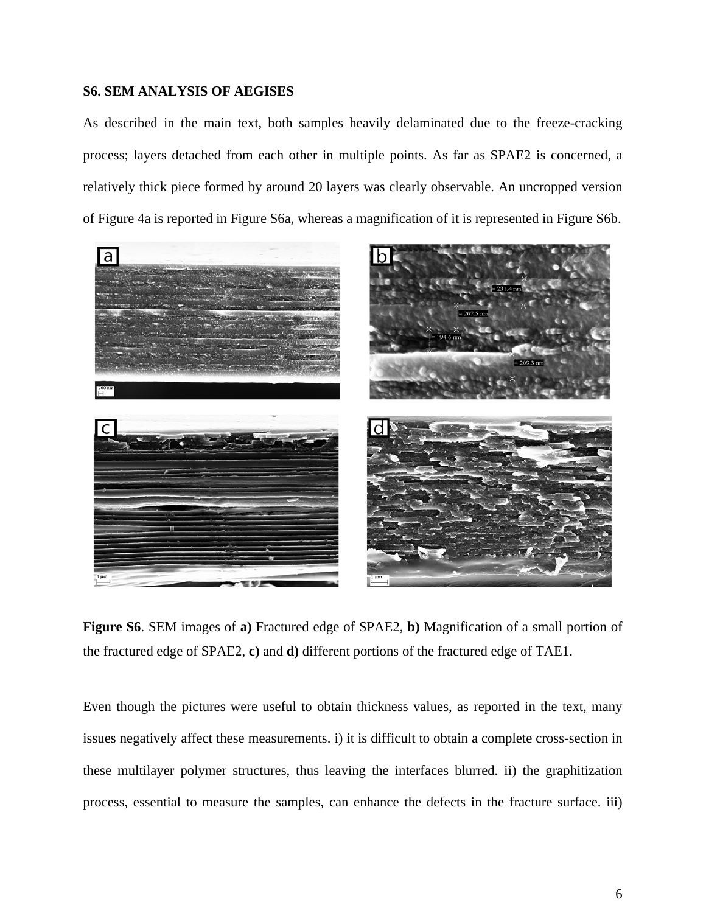### **S6. SEM ANALYSIS OF AEGISES**

As described in the main text, both samples heavily delaminated due to the freeze-cracking process; layers detached from each other in multiple points. As far as SPAE2 is concerned, a relatively thick piece formed by around 20 layers was clearly observable. An uncropped version of Figure 4a is reported in Figure S6a, whereas a magnification of it is represented in Figure S6b.



**Figure S6**. SEM images of **a)** Fractured edge of SPAE2, **b)** Magnification of a small portion of the fractured edge of SPAE2, **c)** and **d)** different portions of the fractured edge of TAE1.

Even though the pictures were useful to obtain thickness values, as reported in the text, many issues negatively affect these measurements. i) it is difficult to obtain a complete cross-section in these multilayer polymer structures, thus leaving the interfaces blurred. ii) the graphitization process, essential to measure the samples, can enhance the defects in the fracture surface. iii)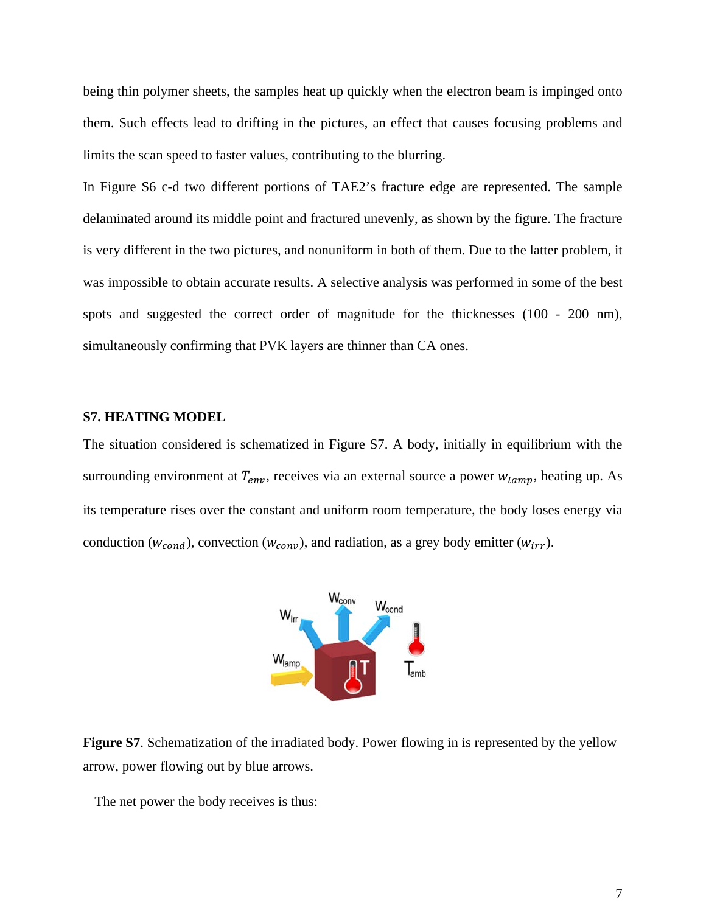being thin polymer sheets, the samples heat up quickly when the electron beam is impinged onto them. Such effects lead to drifting in the pictures, an effect that causes focusing problems and limits the scan speed to faster values, contributing to the blurring.

In Figure S6 c-d two different portions of TAE2's fracture edge are represented. The sample delaminated around its middle point and fractured unevenly, as shown by the figure. The fracture is very different in the two pictures, and nonuniform in both of them. Due to the latter problem, it was impossible to obtain accurate results. A selective analysis was performed in some of the best spots and suggested the correct order of magnitude for the thicknesses (100 - 200 nm), simultaneously confirming that PVK layers are thinner than CA ones.

#### **S7. HEATING MODEL**

The situation considered is schematized in Figure S7. A body, initially in equilibrium with the surrounding environment at  $T_{env}$ , receives via an external source a power  $w_{lamp}$ , heating up. As its temperature rises over the constant and uniform room temperature, the body loses energy via conduction ( $w_{cond}$ ), convection ( $w_{conv}$ ), and radiation, as a grey body emitter ( $w_{irr}$ ).



**Figure S7**. Schematization of the irradiated body. Power flowing in is represented by the yellow arrow, power flowing out by blue arrows.

The net power the body receives is thus: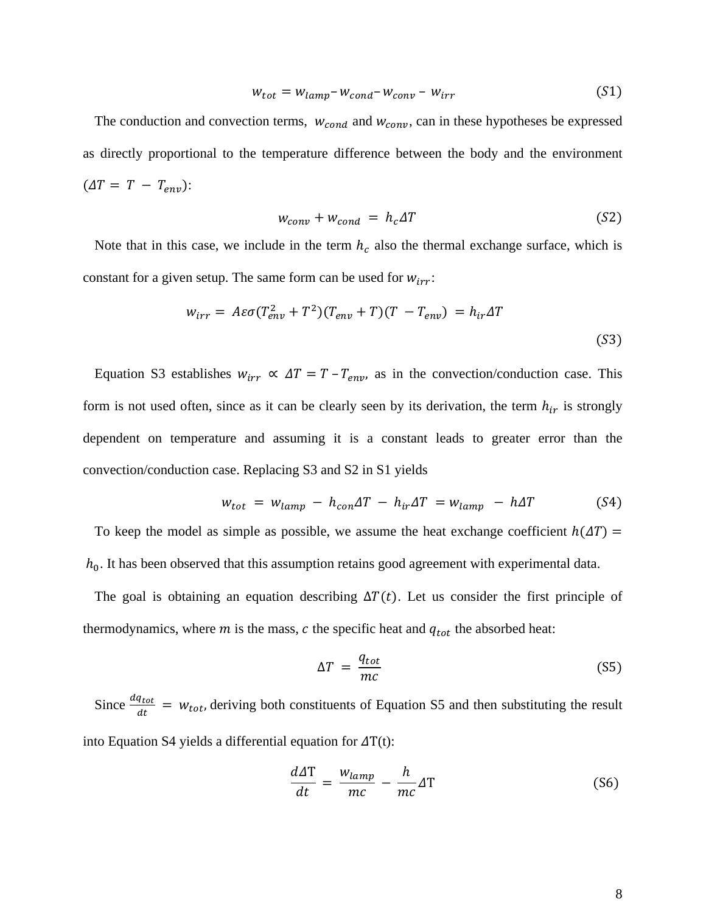$$
W_{tot} = W_{lamp} - W_{cond} - W_{conv} - W_{irr}
$$
 (S1)

The conduction and convection terms,  $w_{cond}$  and  $w_{conv}$ , can in these hypotheses be expressed as directly proportional to the temperature difference between the body and the environment  $(\Delta T = T - T_{env})$ :

$$
w_{conv} + w_{cond} = h_c \Delta T \tag{S2}
$$

Note that in this case, we include in the term  $h_c$  also the thermal exchange surface, which is constant for a given setup. The same form can be used for  $w_{irr}$ :

$$
w_{irr} = A\varepsilon\sigma (T_{env}^2 + T^2)(T_{env} + T)(T - T_{env}) = h_{ir}\Delta T
$$
\n(53)

Equation S3 establishes  $w_{irr} \propto \Delta T = T - T_{env}$ , as in the convection/conduction case. This form is not used often, since as it can be clearly seen by its derivation, the term  $h_{ir}$  is strongly dependent on temperature and assuming it is a constant leads to greater error than the convection/conduction case. Replacing S3 and S2 in S1 yields

$$
w_{tot} = w_{lamp} - h_{con} \Delta T - h_{ir} \Delta T = w_{lamp} - h \Delta T \tag{S4}
$$

To keep the model as simple as possible, we assume the heat exchange coefficient  $h(\Delta T)$  =  $h_0$ . It has been observed that this assumption retains good agreement with experimental data.

The goal is obtaining an equation describing  $\Delta T(t)$ . Let us consider the first principle of thermodynamics, where  $m$  is the mass,  $c$  the specific heat and  $q_{tot}$  the absorbed heat:

$$
\Delta T = \frac{q_{tot}}{mc}
$$
 (S5)

Since  $\frac{dq_{tot}}{dt}$  =  $w_{tot}$ , deriving both constituents of Equation S5 and then substituting the result into Equation S4 yields a differential equation for  $\Delta T(t)$ :

$$
\frac{d\Delta T}{dt} = \frac{w_{lamp}}{mc} - \frac{h}{mc} \Delta T
$$
 (S6)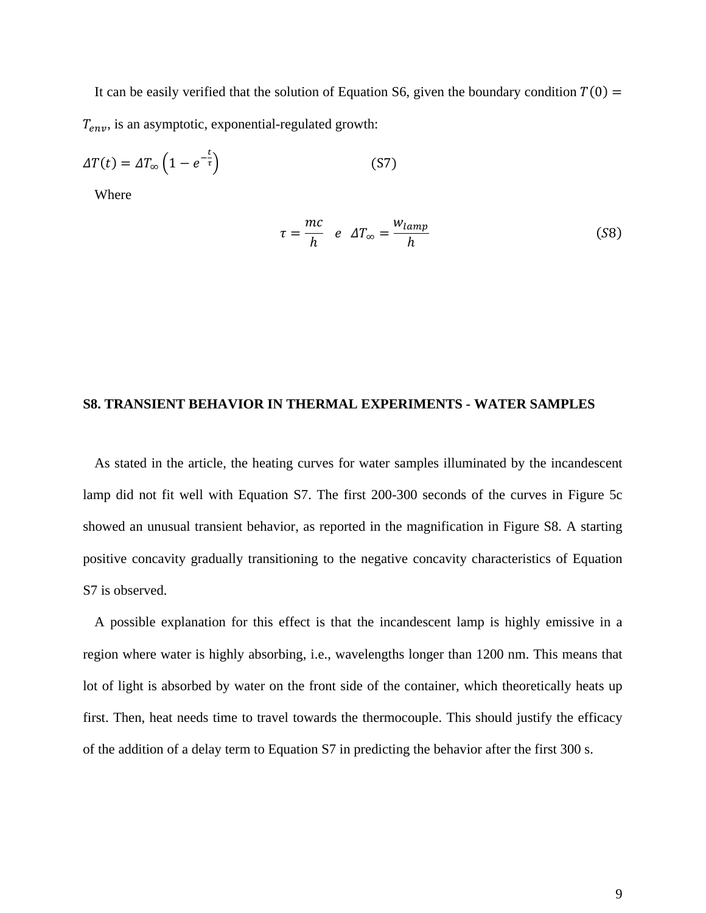It can be easily verified that the solution of Equation S6, given the boundary condition  $T(0) =$  $T_{env}$ , is an asymptotic, exponential-regulated growth:

$$
\Delta T(t) = \Delta T_{\infty} \left( 1 - e^{-\frac{t}{\tau}} \right) \tag{S7}
$$

Where

$$
\tau = \frac{mc}{h} \quad e \quad \Delta T_{\infty} = \frac{W_{lamp}}{h} \tag{S8}
$$

#### **S8. TRANSIENT BEHAVIOR IN THERMAL EXPERIMENTS - WATER SAMPLES**

As stated in the article, the heating curves for water samples illuminated by the incandescent lamp did not fit well with Equation S7. The first 200-300 seconds of the curves in Figure 5c showed an unusual transient behavior, as reported in the magnification in Figure S8. A starting positive concavity gradually transitioning to the negative concavity characteristics of Equation S7 is observed.

A possible explanation for this effect is that the incandescent lamp is highly emissive in a region where water is highly absorbing, i.e., wavelengths longer than 1200 nm. This means that lot of light is absorbed by water on the front side of the container, which theoretically heats up first. Then, heat needs time to travel towards the thermocouple. This should justify the efficacy of the addition of a delay term to Equation S7 in predicting the behavior after the first 300 s.